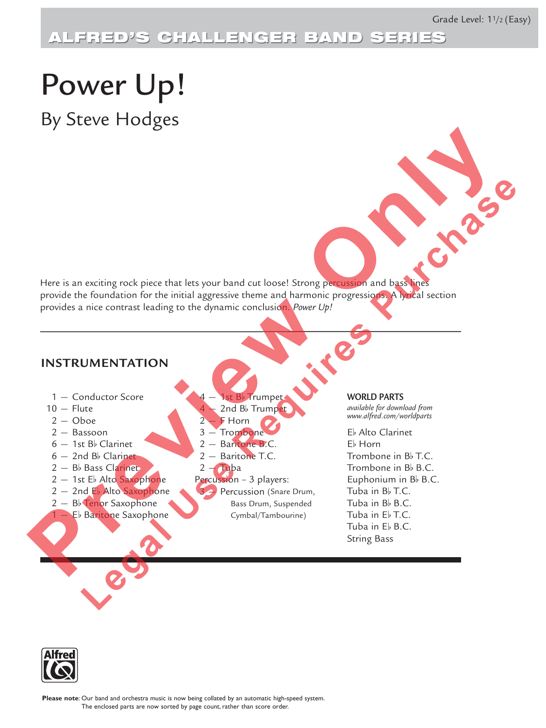## Alfred's ch Alfred's chaallenger b lenger baand series d series

Power Up! By Steve Hodges

Here is an exciting rock piece that lets your band cut loose! Strong percussion and bass lines provide the foundation for the initial aggressive theme and harmonic progressions. A lyrical section provides a nice contrast leading to the dynamic conclusion. *Power Up!* Previs an exciting rock piece that lets your band cut loose! Strong previses an elected and by the contrast of the channel provides a nice contrast definition of the dynamic conclusion (Progressive Conclusion Conclusion Co Exercise procedure and the state of the method of the minimal angles since the contrast leading to the dynamic conclusion Repute Light<br>
The contrast leading to the dynamic conclusion Repute Light<br>
UMENTATION<br>
USENTATION<br>
U

## **INSTRUMENTATION**

- 1 Conductor Score
- $10 -$ Flute
- $2 -$ Oboe
- $2 -$ Bassoon
- $6 1$ st B<sub>b</sub> Clarinet
- $6 2$ nd B<sub>b</sub> Clarinet
- $2 B$ <sub>b</sub> Bass Clarinet
- 2 1st Eb Alto Saxophone
- 2 2nd Eb Alto Saxophone
- 2 B<sub>b</sub> Tenor Saxophone
- Eb Baritone Saxophone

st B<sub>b</sub> Trumpet 2nd B<sub>b</sub> Trumpet

- $2 F$  Horn
- 3 Trombone 2 - Baritone B.C.
- 2 Baritone T.C.
- $2 -$ Tuba
- Percussion 3 players:
	- Percussion (Snare Drum, Bass Drum, Suspended
		- Cymbal/Tambourine)

**WORLD PARTS**

*available for download from www.alfred.com/worldparts*

Eb Alto Clarinet Eb Horn Trombone in Bb T.C. Trombone in B<sub>b</sub> B.C. Euphonium in B<sub>b</sub> B.C. Tuba in Bb T.C. Tuba in  $B<sub>b</sub> B<sub>c</sub>$ . Tuba in  $F_b$  T.C. Tuba in Eb B.C. String Bass

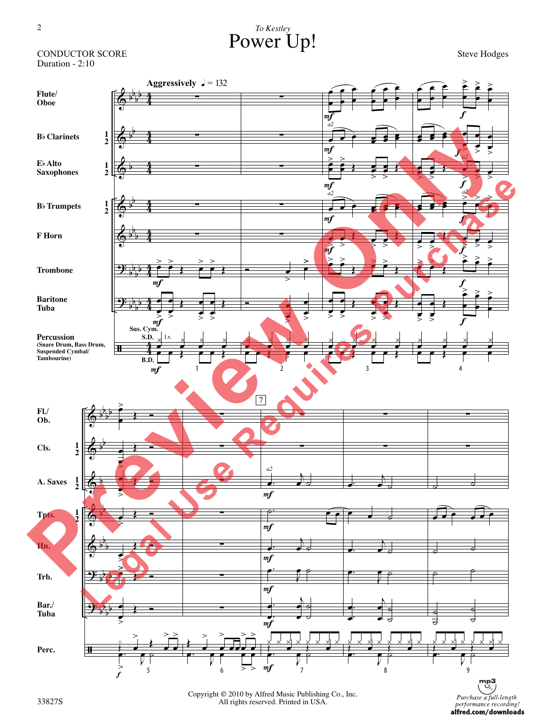**Steve Hodges** 



Purchase a full-length<br>performance recording!<br>**alfred.com/downloads** 

CONDUCTOR SCORE

Duration - 2:10

33827S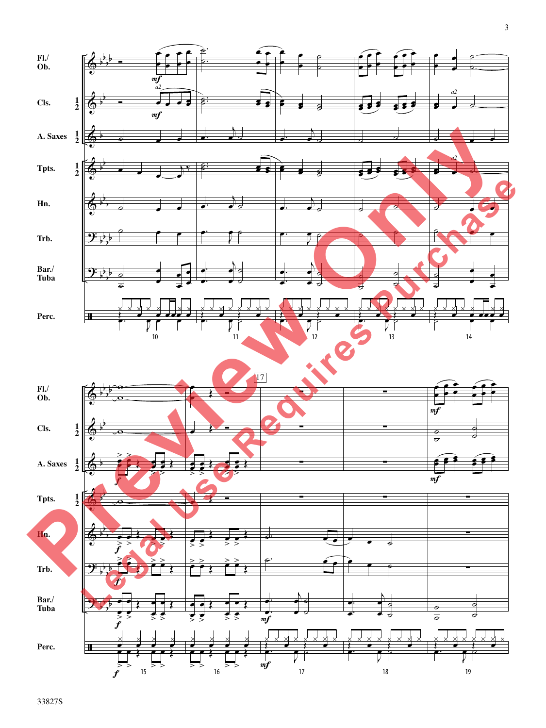



33827S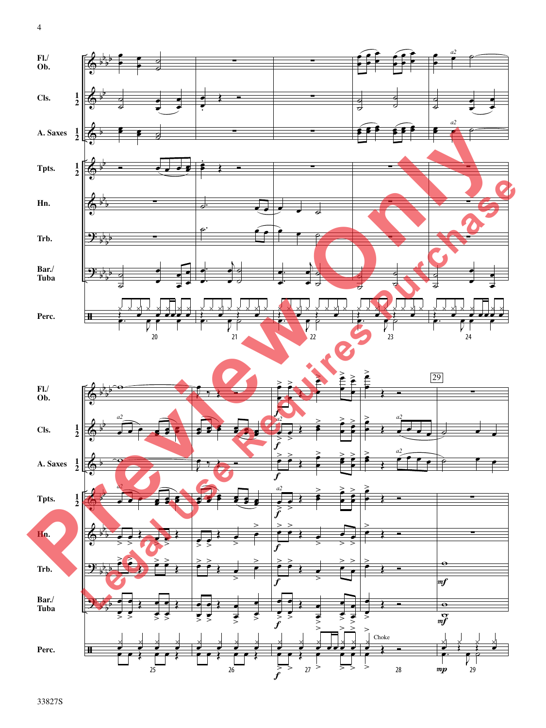



 $\overline{4}$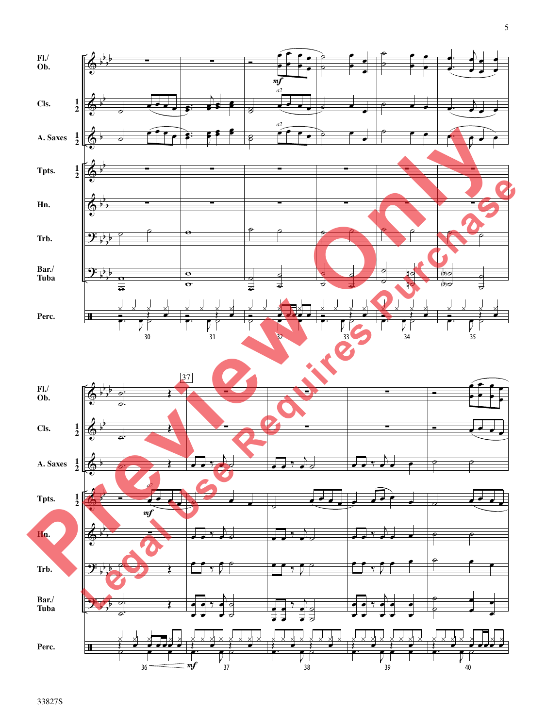



33827S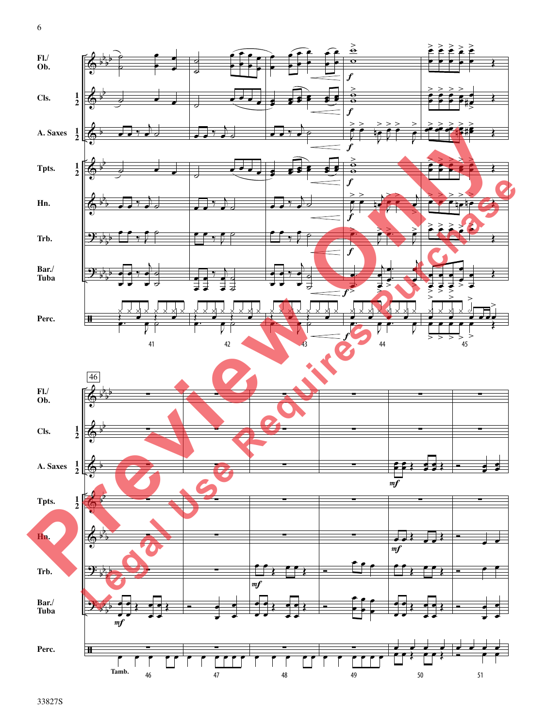



 $m\ddot{f}$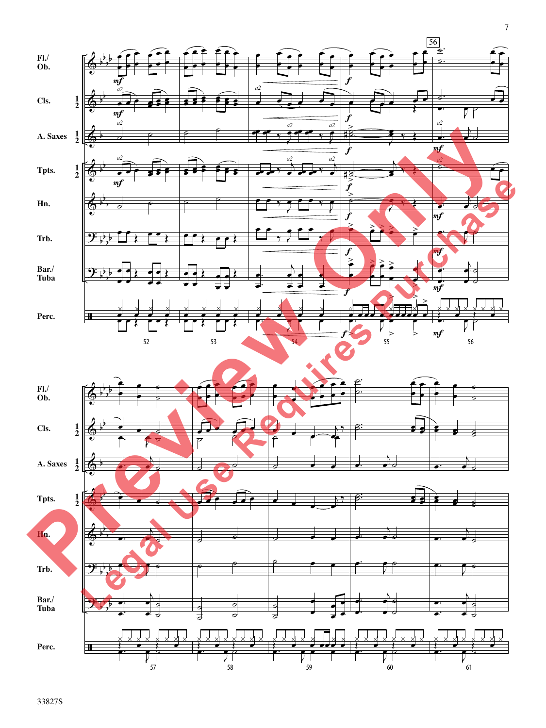